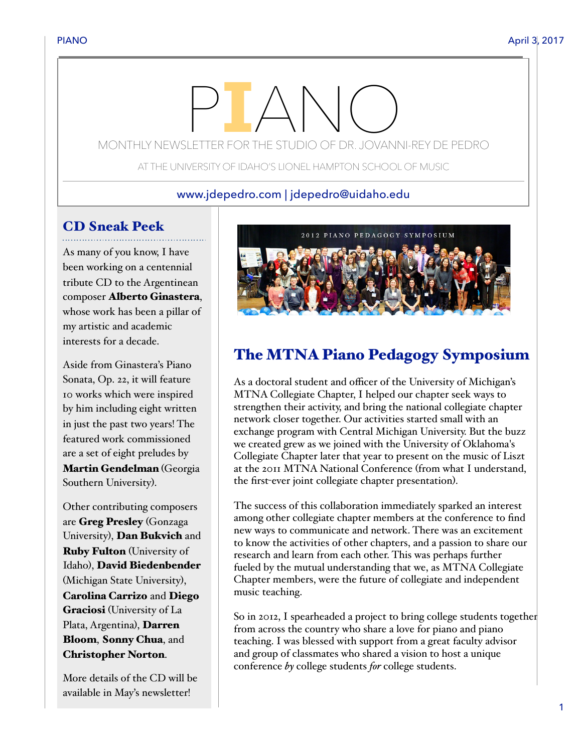# MONTHLY NEWSLETTER FOR THE STUDIO OF DR. JOVANNI-REY DE PEDRO

AT THE UNIVERSITY OF IDAHO'S LIONEL HAMPTON SCHOOL OF MUSIC

#### www.jdepedro.com | jdepedro@uidaho.edu

# CD Sneak Peek

As many of you know, I have been working on a centennial tribute CD to the Argentinean composer Alberto Ginastera, whose work has been a pillar of my artistic and academic interests for a decade.

Aside from Ginastera's Piano Sonata, Op. 22, it will feature 10 works which were inspired by him including eight written in just the past two years! The featured work commissioned are a set of eight preludes by Martin Gendelman (Georgia Southern University).

Other contributing composers are Greg Presley (Gonzaga University), Dan Bukvich and Ruby Fulton (University of Idaho), David Biedenbender (Michigan State University), Carolina Carrizo and Diego Graciosi (University of La Plata, Argentina), Darren Bloom, Sonny Chua, and Christopher Norton.

More details of the CD will be available in May's newsletter!



# The MTNA Piano Pedagogy Symposium

As a doctoral student and officer of the University of Michigan's MTNA Collegiate Chapter, I helped our chapter seek ways to strengthen their activity, and bring the national collegiate chapter network closer together. Our activities started small with an exchange program with Central Michigan University. But the buzz we created grew as we joined with the University of Oklahoma's Collegiate Chapter later that year to present on the music of Liszt at the 2011 MTNA National Conference (from what I understand, the first-ever joint collegiate chapter presentation).

The success of this collaboration immediately sparked an interest among other collegiate chapter members at the conference to find new ways to communicate and network. There was an excitement to know the activities of other chapters, and a passion to share our research and learn from each other. This was perhaps further fueled by the mutual understanding that we, as MTNA Collegiate Chapter members, were the future of collegiate and independent music teaching.

So in 2012, I spearheaded a project to bring college students together from across the country who share a love for piano and piano teaching. I was blessed with support from a great faculty advisor and group of classmates who shared a vision to host a unique conference *by* college students *for* college students.